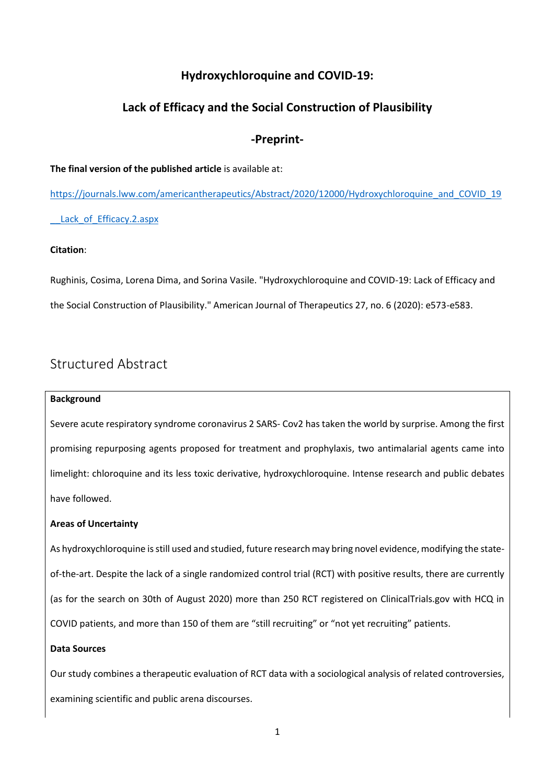# **Hydroxychloroquine and COVID-19:**

# **Lack of Efficacy and the Social Construction of Plausibility**

### **-Preprint-**

#### **The final version of the published article** is available at:

[https://journals.lww.com/americantherapeutics/Abstract/2020/12000/Hydroxychloroquine\\_and\\_COVID\\_19](https://journals.lww.com/americantherapeutics/Abstract/2020/12000/Hydroxychloroquine_and_COVID_19__Lack_of_Efficacy.2.aspx) Lack of Efficacy.2.aspx

### **Citation**:

Rughinis, Cosima, Lorena Dima, and Sorina Vasile. "Hydroxychloroquine and COVID-19: Lack of Efficacy and the Social Construction of Plausibility." American Journal of Therapeutics 27, no. 6 (2020): e573-e583.

# Structured Abstract

#### **Background**

Severe acute respiratory syndrome coronavirus 2 SARS- Cov2 has taken the world by surprise. Among the first promising repurposing agents proposed for treatment and prophylaxis, two antimalarial agents came into limelight: chloroquine and its less toxic derivative, hydroxychloroquine. Intense research and public debates have followed.

### **Areas of Uncertainty**

As hydroxychloroquine is still used and studied, future research may bring novel evidence, modifying the stateof-the-art. Despite the lack of a single randomized control trial (RCT) with positive results, there are currently (as for the search on 30th of August 2020) more than 250 RCT registered on ClinicalTrials.gov with HCQ in COVID patients, and more than 150 of them are "still recruiting" or "not yet recruiting" patients.

### **Data Sources**

Our study combines a therapeutic evaluation of RCT data with a sociological analysis of related controversies, examining scientific and public arena discourses.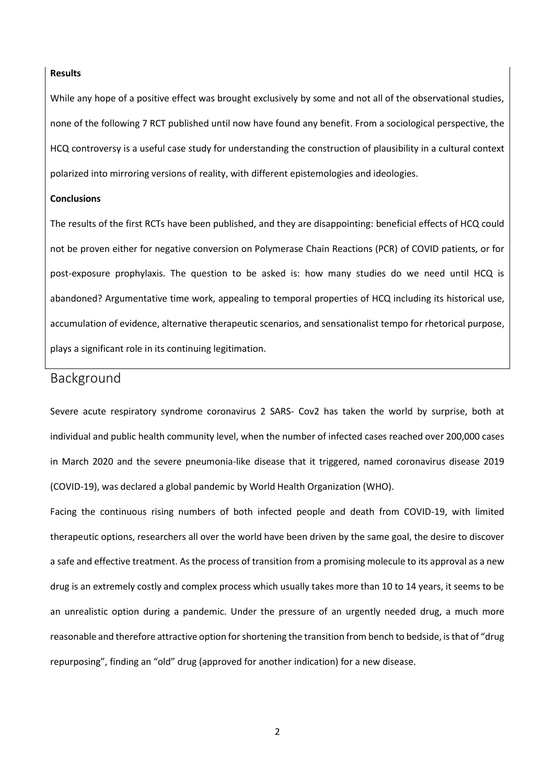#### **Results**

While any hope of a positive effect was brought exclusively by some and not all of the observational studies, none of the following 7 RCT published until now have found any benefit. From a sociological perspective, the HCQ controversy is a useful case study for understanding the construction of plausibility in a cultural context polarized into mirroring versions of reality, with different epistemologies and ideologies.

### **Conclusions**

The results of the first RCTs have been published, and they are disappointing: beneficial effects of HCQ could not be proven either for negative conversion on Polymerase Chain Reactions (PCR) of COVID patients, or for post-exposure prophylaxis. The question to be asked is: how many studies do we need until HCQ is abandoned? Argumentative time work, appealing to temporal properties of HCQ including its historical use, accumulation of evidence, alternative therapeutic scenarios, and sensationalist tempo for rhetorical purpose, plays a significant role in its continuing legitimation.

# Background

Severe acute respiratory syndrome coronavirus 2 SARS- Cov2 has taken the world by surprise, both at individual and public health community level, when the number of infected cases reached over 200,000 cases in March 2020 and the severe pneumonia-like disease that it triggered, named coronavirus disease 2019 (COVID-19), was declared a global pandemic by World Health Organization (WHO).

Facing the continuous rising numbers of both infected people and death from COVID-19, with limited therapeutic options, researchers all over the world have been driven by the same goal, the desire to discover a safe and effective treatment. As the process of transition from a promising molecule to its approval as a new drug is an extremely costly and complex process which usually takes more than 10 to 14 years, it seems to be an unrealistic option during a pandemic. Under the pressure of an urgently needed drug, a much more reasonable and therefore attractive option for shortening the transition from bench to bedside, is that of "drug repurposing", finding an "old" drug (approved for another indication) for a new disease.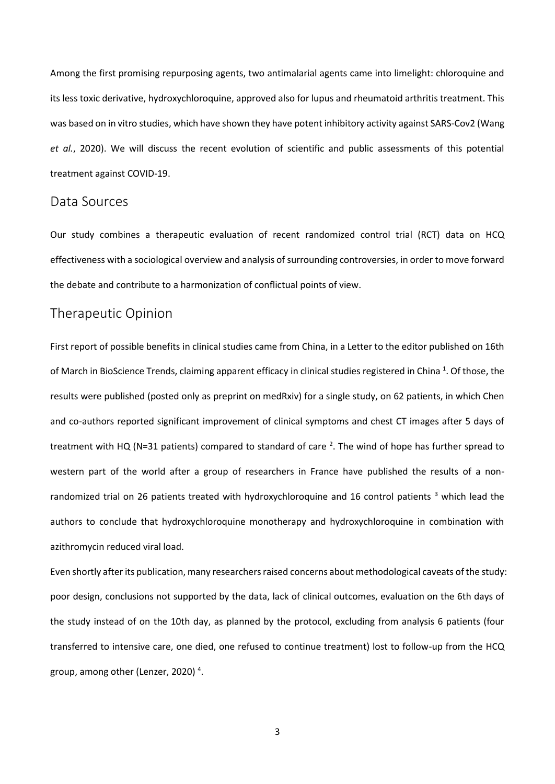Among the first promising repurposing agents, two antimalarial agents came into limelight: chloroquine and its less toxic derivative, hydroxychloroquine, approved also for lupus and rheumatoid arthritis treatment. This was based on in vitro studies, which have shown they have potent inhibitory activity against SARS-Cov2 (Wang *et al.*, 2020). We will discuss the recent evolution of scientific and public assessments of this potential treatment against COVID-19.

### Data Sources

Our study combines a therapeutic evaluation of recent randomized control trial (RCT) data on HCQ effectiveness with a sociological overview and analysis of surrounding controversies, in order to move forward the debate and contribute to a harmonization of conflictual points of view.

### Therapeutic Opinion

First report of possible benefits in clinical studies came from China, in a Letter to the editor published on 16th of March in BioScience Trends, claiming apparent efficacy in clinical studies registered in China<sup>1</sup>. Of those, the results were published (posted only as preprint on medRxiv) for a single study, on 62 patients, in which Chen and co-authors reported significant improvement of clinical symptoms and chest CT images after 5 days of treatment with HQ (N=31 patients) compared to standard of care  $^2$ . The wind of hope has further spread to western part of the world after a group of researchers in France have published the results of a nonrandomized trial on 26 patients treated with hydroxychloroquine and 16 control patients <sup>3</sup> which lead the authors to conclude that hydroxychloroquine monotherapy and hydroxychloroquine in combination with azithromycin reduced viral load.

Even shortly after its publication, many researchers raised concerns about methodological caveats of the study: poor design, conclusions not supported by the data, lack of clinical outcomes, evaluation on the 6th days of the study instead of on the 10th day, as planned by the protocol, excluding from analysis 6 patients (four transferred to intensive care, one died, one refused to continue treatment) lost to follow-up from the HCQ group, among other (Lenzer, 2020)<sup>4</sup>.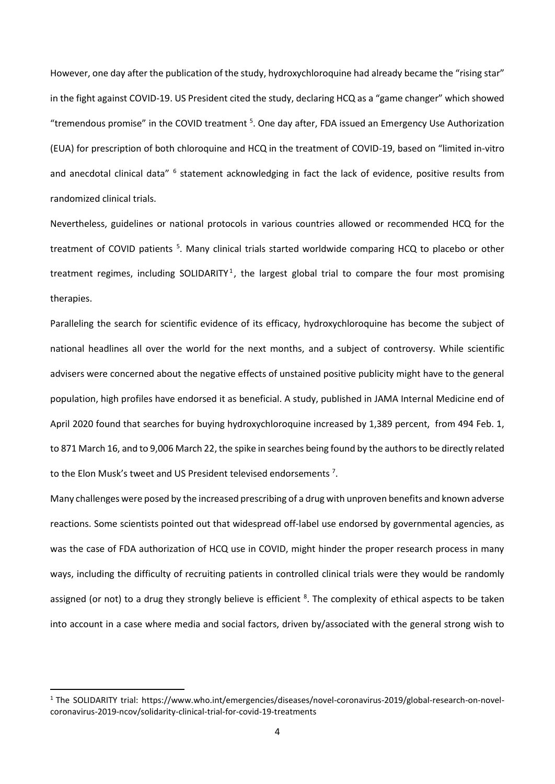However, one day after the publication of the study, hydroxychloroquine had already became the "rising star" in the fight against COVID-19. US President cited the study, declaring HCQ as a "game changer" which showed "tremendous promise" in the COVID treatment <sup>5</sup>. One day after, FDA issued an Emergency Use Authorization (EUA) for prescription of both chloroquine and HCQ in the treatment of COVID-19, based on "limited in-vitro and anecdotal clinical data" <sup>6</sup> statement acknowledging in fact the lack of evidence, positive results from randomized clinical trials.

Nevertheless, guidelines or national protocols in various countries allowed or recommended HCQ for the treatment of COVID patients<sup>5</sup>. Many clinical trials started worldwide comparing HCQ to placebo or other treatment regimes, including SOLIDARITY<sup>1</sup>, the largest global trial to compare the four most promising therapies.

Paralleling the search for scientific evidence of its efficacy, hydroxychloroquine has become the subject of national headlines all over the world for the next months, and a subject of controversy. While scientific advisers were concerned about the negative effects of unstained positive publicity might have to the general population, high profiles have endorsed it as beneficial. A study, published in JAMA Internal Medicine end of April 2020 found that searches for buying hydroxychloroquine increased by 1,389 percent, from 494 Feb. 1, to 871 March 16, and to 9,006 March 22, the spike in searches being found by the authors to be directly related to the Elon Musk's tweet and US President televised endorsements  $7$ .

Many challenges were posed by the increased prescribing of a drug with unproven benefits and known adverse reactions. Some scientists pointed out that widespread off-label use endorsed by governmental agencies, as was the case of FDA authorization of HCQ use in COVID, might hinder the proper research process in many ways, including the difficulty of recruiting patients in controlled clinical trials were they would be randomly assigned (or not) to a drug they strongly believe is efficient <sup>8</sup>. The complexity of ethical aspects to be taken into account in a case where media and social factors, driven by/associated with the general strong wish to

<sup>1</sup> The SOLIDARITY trial: https://www.who.int/emergencies/diseases/novel-coronavirus-2019/global-research-on-novelcoronavirus-2019-ncov/solidarity-clinical-trial-for-covid-19-treatments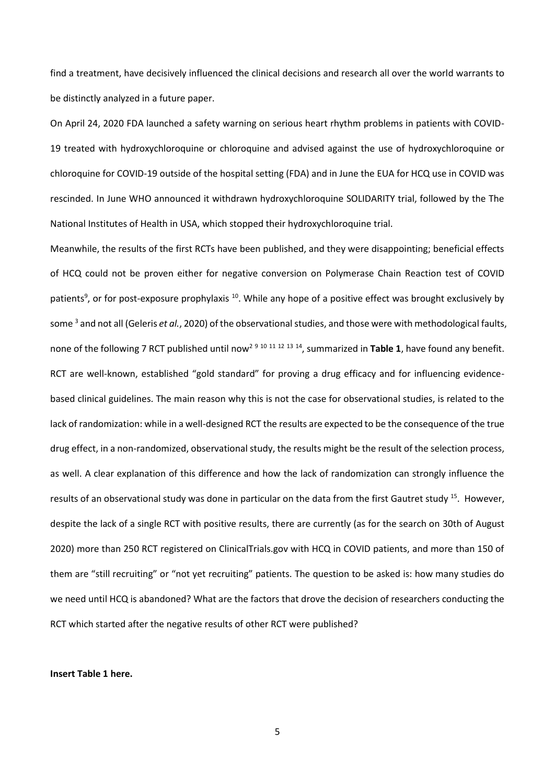find a treatment, have decisively influenced the clinical decisions and research all over the world warrants to be distinctly analyzed in a future paper.

On April 24, 2020 FDA launched a safety warning on serious heart rhythm problems in patients with COVID-19 treated with hydroxychloroquine or chloroquine and advised against the use of hydroxychloroquine or chloroquine for COVID-19 outside of the hospital setting (FDA) and in June the EUA for HCQ use in COVID was rescinded. In June WHO announced it withdrawn hydroxychloroquine SOLIDARITY trial, followed by the The National Institutes of Health in USA, which stopped their hydroxychloroquine trial.

Meanwhile, the results of the first RCTs have been published, and they were disappointing; beneficial effects of HCQ could not be proven either for negative conversion on Polymerase Chain Reaction test of COVID patients<sup>9</sup>, or for post-exposure prophylaxis <sup>10</sup>. While any hope of a positive effect was brought exclusively by some <sup>3</sup> and not all (Geleris *et al.*, 2020) of the observational studies, and those were with methodological faults, none of the following 7 RCT published until now<sup>2</sup> <sup>9</sup> <sup>10</sup> <sup>11</sup> <sup>12</sup> <sup>13</sup> <sup>14</sup>, summarized in **Table 1**, have found any benefit. RCT are well-known, established "gold standard" for proving a drug efficacy and for influencing evidencebased clinical guidelines. The main reason why this is not the case for observational studies, is related to the lack of randomization: while in a well-designed RCT the results are expected to be the consequence of the true drug effect, in a non-randomized, observational study, the results might be the result of the selection process, as well. A clear explanation of this difference and how the lack of randomization can strongly influence the results of an observational study was done in particular on the data from the first Gautret study <sup>15</sup>. However, despite the lack of a single RCT with positive results, there are currently (as for the search on 30th of August 2020) more than 250 RCT registered on ClinicalTrials.gov with HCQ in COVID patients, and more than 150 of them are "still recruiting" or "not yet recruiting" patients. The question to be asked is: how many studies do we need until HCQ is abandoned? What are the factors that drove the decision of researchers conducting the RCT which started after the negative results of other RCT were published?

#### **Insert Table 1 here.**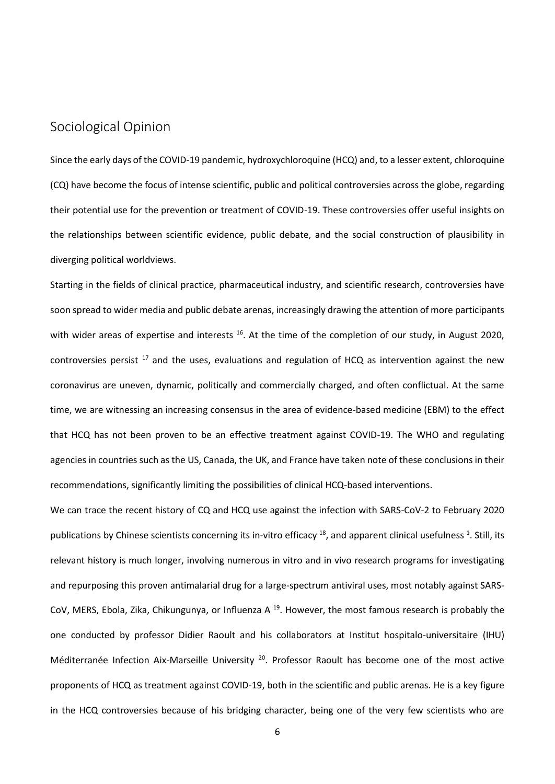# Sociological Opinion

Since the early days of the COVID-19 pandemic, hydroxychloroquine (HCQ) and, to a lesser extent, chloroquine (CQ) have become the focus of intense scientific, public and political controversies across the globe, regarding their potential use for the prevention or treatment of COVID-19. These controversies offer useful insights on the relationships between scientific evidence, public debate, and the social construction of plausibility in diverging political worldviews.

Starting in the fields of clinical practice, pharmaceutical industry, and scientific research, controversies have soon spread to wider media and public debate arenas, increasingly drawing the attention of more participants with wider areas of expertise and interests <sup>16</sup>. At the time of the completion of our study, in August 2020, controversies persist  $17$  and the uses, evaluations and regulation of HCQ as intervention against the new coronavirus are uneven, dynamic, politically and commercially charged, and often conflictual. At the same time, we are witnessing an increasing consensus in the area of evidence-based medicine (EBM) to the effect that HCQ has not been proven to be an effective treatment against COVID-19. The WHO and regulating agencies in countries such as the US, Canada, the UK, and France have taken note of these conclusions in their recommendations, significantly limiting the possibilities of clinical HCQ-based interventions.

We can trace the recent history of CQ and HCQ use against the infection with SARS-CoV-2 to February 2020 publications by Chinese scientists concerning its in-vitro efficacy <sup>18</sup>, and apparent clinical usefulness <sup>1</sup>. Still, its relevant history is much longer, involving numerous in vitro and in vivo research programs for investigating and repurposing this proven antimalarial drug for a large-spectrum antiviral uses, most notably against SARS-CoV, MERS, Ebola, Zika, Chikungunya, or Influenza A<sup>19</sup>. However, the most famous research is probably the one conducted by professor Didier Raoult and his collaborators at Institut hospitalo-universitaire (IHU) Méditerranée Infection Aix-Marseille University<sup>20</sup>. Professor Raoult has become one of the most active proponents of HCQ as treatment against COVID-19, both in the scientific and public arenas. He is a key figure in the HCQ controversies because of his bridging character, being one of the very few scientists who are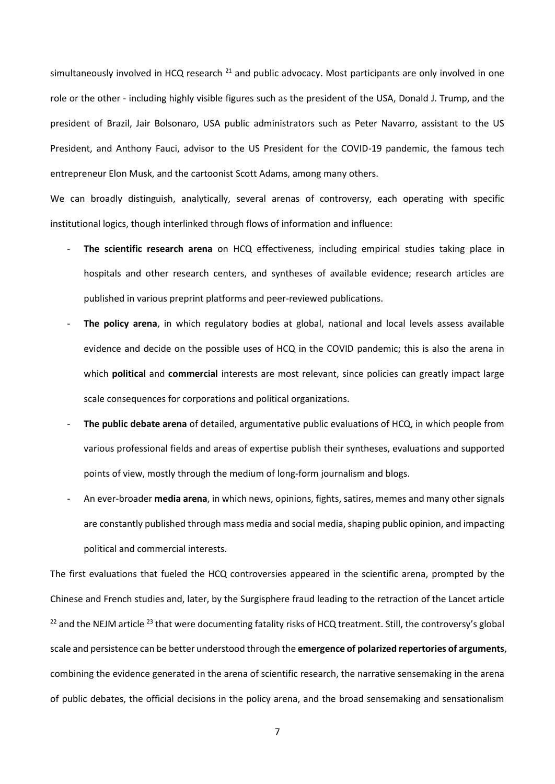simultaneously involved in HCQ research  $^{21}$  and public advocacy. Most participants are only involved in one role or the other - including highly visible figures such as the president of the USA, Donald J. Trump, and the president of Brazil, Jair Bolsonaro, USA public administrators such as Peter Navarro, assistant to the US President, and Anthony Fauci, advisor to the US President for the COVID-19 pandemic, the famous tech entrepreneur Elon Musk, and the cartoonist Scott Adams, among many others.

We can broadly distinguish, analytically, several arenas of controversy, each operating with specific institutional logics, though interlinked through flows of information and influence:

- **The scientific research arena** on HCQ effectiveness, including empirical studies taking place in hospitals and other research centers, and syntheses of available evidence; research articles are published in various preprint platforms and peer-reviewed publications.
- The policy arena, in which regulatory bodies at global, national and local levels assess available evidence and decide on the possible uses of HCQ in the COVID pandemic; this is also the arena in which **political** and **commercial** interests are most relevant, since policies can greatly impact large scale consequences for corporations and political organizations.
- **The public debate arena** of detailed, argumentative public evaluations of HCQ, in which people from various professional fields and areas of expertise publish their syntheses, evaluations and supported points of view, mostly through the medium of long-form journalism and blogs.
- An ever-broader **media arena**, in which news, opinions, fights, satires, memes and many other signals are constantly published through mass media and social media, shaping public opinion, and impacting political and commercial interests.

The first evaluations that fueled the HCQ controversies appeared in the scientific arena, prompted by the Chinese and French studies and, later, by the Surgisphere fraud leading to the retraction of the Lancet article <sup>22</sup> and the NEJM article <sup>23</sup> that were documenting fatality risks of HCQ treatment. Still, the controversy's global scale and persistence can be better understood through the **emergence of polarized repertories of arguments**, combining the evidence generated in the arena of scientific research, the narrative sensemaking in the arena of public debates, the official decisions in the policy arena, and the broad sensemaking and sensationalism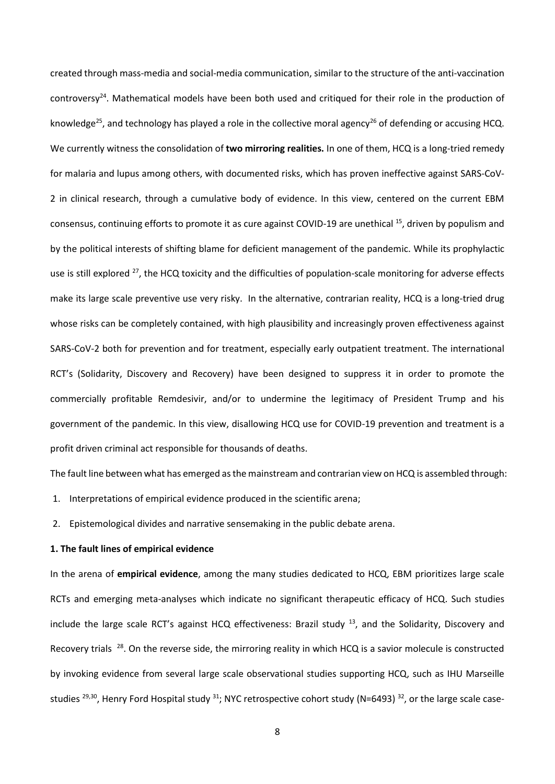created through mass-media and social-media communication, similar to the structure of the anti-vaccination controversy<sup>24</sup>. Mathematical models have been both used and critiqued for their role in the production of knowledge<sup>25</sup>, and technology has played a role in the collective moral agency<sup>26</sup> of defending or accusing HCQ. We currently witness the consolidation of **two mirroring realities.** In one of them, HCQ is a long-tried remedy for malaria and lupus among others, with documented risks, which has proven ineffective against SARS-CoV-2 in clinical research, through a cumulative body of evidence. In this view, centered on the current EBM consensus, continuing efforts to promote it as cure against COVID-19 are unethical <sup>15</sup>, driven by populism and by the political interests of shifting blame for deficient management of the pandemic. While its prophylactic use is still explored <sup>27</sup>, the HCQ toxicity and the difficulties of population-scale monitoring for adverse effects make its large scale preventive use very risky. In the alternative, contrarian reality, HCQ is a long-tried drug whose risks can be completely contained, with high plausibility and increasingly proven effectiveness against SARS-CoV-2 both for prevention and for treatment, especially early outpatient treatment. The international RCT's (Solidarity, Discovery and Recovery) have been designed to suppress it in order to promote the commercially profitable Remdesivir, and/or to undermine the legitimacy of President Trump and his government of the pandemic. In this view, disallowing HCQ use for COVID-19 prevention and treatment is a profit driven criminal act responsible for thousands of deaths.

The fault line between what has emerged as the mainstream and contrarian view on HCQ is assembled through:

- 1. Interpretations of empirical evidence produced in the scientific arena;
- 2. Epistemological divides and narrative sensemaking in the public debate arena.

#### **1. The fault lines of empirical evidence**

In the arena of **empirical evidence**, among the many studies dedicated to HCQ, EBM prioritizes large scale RCTs and emerging meta-analyses which indicate no significant therapeutic efficacy of HCQ. Such studies include the large scale RCT's against HCQ effectiveness: Brazil study <sup>13</sup>, and the Solidarity, Discovery and Recovery trials <sup>28</sup>. On the reverse side, the mirroring reality in which HCQ is a savior molecule is constructed by invoking evidence from several large scale observational studies supporting HCQ, such as IHU Marseille studies  $^{29,30}$ , Henry Ford Hospital study  $^{31}$ ; NYC retrospective cohort study (N=6493)  $^{32}$ , or the large scale case-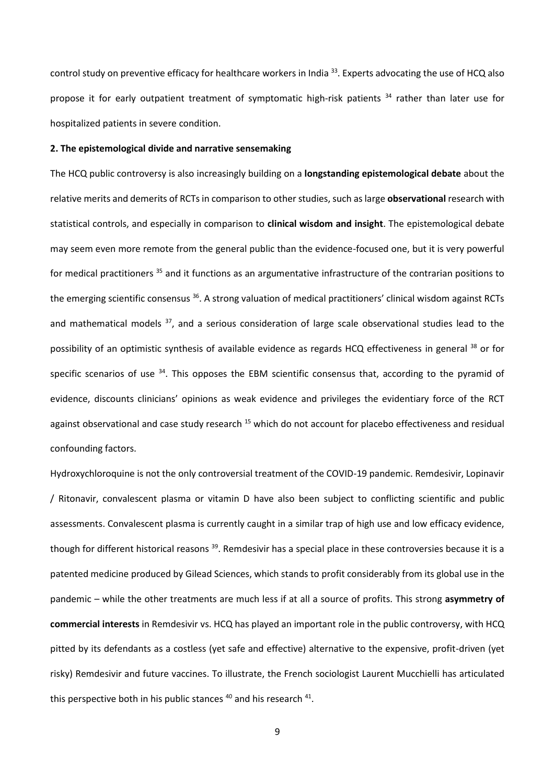control study on preventive efficacy for healthcare workers in India <sup>33</sup>. Experts advocating the use of HCQ also propose it for early outpatient treatment of symptomatic high-risk patients<sup>34</sup> rather than later use for hospitalized patients in severe condition.

#### **2. The epistemological divide and narrative sensemaking**

The HCQ public controversy is also increasingly building on a **longstanding epistemological debate** about the relative merits and demerits of RCTs in comparison to other studies, such as large **observational** research with statistical controls, and especially in comparison to **clinical wisdom and insight**. The epistemological debate may seem even more remote from the general public than the evidence-focused one, but it is very powerful for medical practitioners<sup>35</sup> and it functions as an argumentative infrastructure of the contrarian positions to the emerging scientific consensus <sup>36</sup>. A strong valuation of medical practitioners' clinical wisdom against RCTs and mathematical models <sup>37</sup>, and a serious consideration of large scale observational studies lead to the possibility of an optimistic synthesis of available evidence as regards HCQ effectiveness in general <sup>38</sup> or for specific scenarios of use  $34$ . This opposes the EBM scientific consensus that, according to the pyramid of evidence, discounts clinicians' opinions as weak evidence and privileges the evidentiary force of the RCT against observational and case study research <sup>15</sup> which do not account for placebo effectiveness and residual confounding factors.

Hydroxychloroquine is not the only controversial treatment of the COVID-19 pandemic. Remdesivir, Lopinavir / Ritonavir, convalescent plasma or vitamin D have also been subject to conflicting scientific and public assessments. Convalescent plasma is currently caught in a similar trap of high use and low efficacy evidence, though for different historical reasons <sup>39</sup>. Remdesivir has a special place in these controversies because it is a patented medicine produced by Gilead Sciences, which stands to profit considerably from its global use in the pandemic – while the other treatments are much less if at all a source of profits. This strong **asymmetry of commercial interests** in Remdesivir vs. HCQ has played an important role in the public controversy, with HCQ pitted by its defendants as a costless (yet safe and effective) alternative to the expensive, profit-driven (yet risky) Remdesivir and future vaccines. To illustrate, the French sociologist Laurent Mucchielli has articulated this perspective both in his public stances  $^{40}$  and his research  $^{41}$ .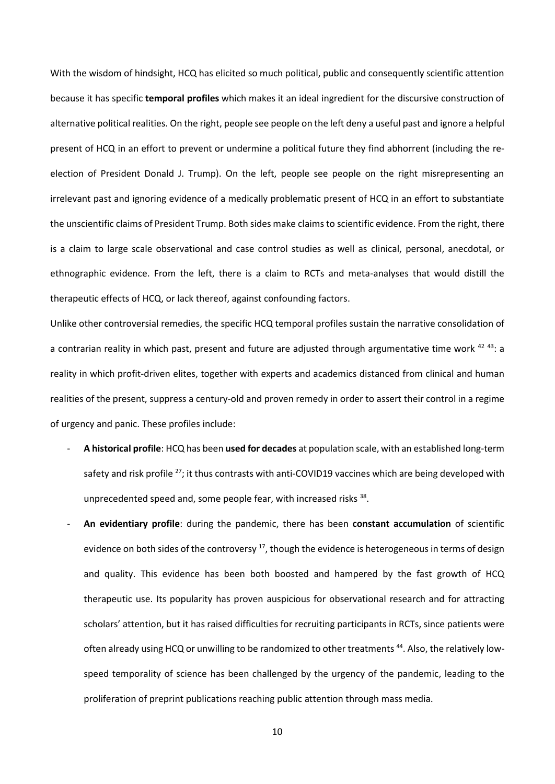With the wisdom of hindsight, HCQ has elicited so much political, public and consequently scientific attention because it has specific **temporal profiles** which makes it an ideal ingredient for the discursive construction of alternative political realities. On the right, people see people on the left deny a useful past and ignore a helpful present of HCQ in an effort to prevent or undermine a political future they find abhorrent (including the reelection of President Donald J. Trump). On the left, people see people on the right misrepresenting an irrelevant past and ignoring evidence of a medically problematic present of HCQ in an effort to substantiate the unscientific claims of President Trump. Both sides make claims to scientific evidence. From the right, there is a claim to large scale observational and case control studies as well as clinical, personal, anecdotal, or ethnographic evidence. From the left, there is a claim to RCTs and meta-analyses that would distill the therapeutic effects of HCQ, or lack thereof, against confounding factors.

Unlike other controversial remedies, the specific HCQ temporal profiles sustain the narrative consolidation of a contrarian reality in which past, present and future are adjusted through argumentative time work <sup>42 43</sup>: a reality in which profit-driven elites, together with experts and academics distanced from clinical and human realities of the present, suppress a century-old and proven remedy in order to assert their control in a regime of urgency and panic. These profiles include:

- **A historical profile**: HCQ has been **used for decades** at population scale, with an established long-term safety and risk profile <sup>27</sup>; it thus contrasts with anti-COVID19 vaccines which are being developed with unprecedented speed and, some people fear, with increased risks 38.
- **An evidentiary profile**: during the pandemic, there has been **constant accumulation** of scientific evidence on both sides of the controversy  $17$ , though the evidence is heterogeneous in terms of design and quality. This evidence has been both boosted and hampered by the fast growth of HCQ therapeutic use. Its popularity has proven auspicious for observational research and for attracting scholars' attention, but it has raised difficulties for recruiting participants in RCTs, since patients were often already using HCQ or unwilling to be randomized to other treatments<sup>44</sup>. Also, the relatively lowspeed temporality of science has been challenged by the urgency of the pandemic, leading to the proliferation of preprint publications reaching public attention through mass media.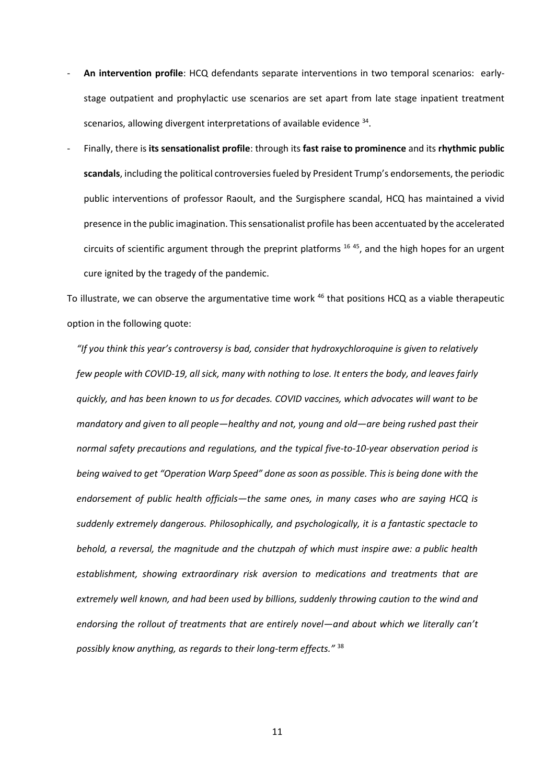- **An intervention profile**: HCQ defendants separate interventions in two temporal scenarios: earlystage outpatient and prophylactic use scenarios are set apart from late stage inpatient treatment scenarios, allowing divergent interpretations of available evidence <sup>34</sup>.
- Finally, there is **its sensationalist profile**: through its **fast raise to prominence** and its **rhythmic public scandals**, including the political controversies fueled by President Trump's endorsements, the periodic public interventions of professor Raoult, and the Surgisphere scandal, HCQ has maintained a vivid presence in the public imagination. This sensationalist profile has been accentuated by the accelerated circuits of scientific argument through the preprint platforms  $1645$ , and the high hopes for an urgent cure ignited by the tragedy of the pandemic.

To illustrate, we can observe the argumentative time work <sup>46</sup> that positions HCQ as a viable therapeutic option in the following quote:

*"If you think this year's controversy is bad, consider that hydroxychloroquine is given to relatively few people with COVID-19, all sick, many with nothing to lose. It enters the body, and leaves fairly quickly, and has been known to us for decades. COVID vaccines, which advocates will want to be mandatory and given to all people—healthy and not, young and old—are being rushed past their normal safety precautions and regulations, and the typical five-to-10-year observation period is being waived to get "Operation Warp Speed" done as soon as possible. This is being done with the endorsement of public health officials—the same ones, in many cases who are saying HCQ is suddenly extremely dangerous. Philosophically, and psychologically, it is a fantastic spectacle to behold, a reversal, the magnitude and the chutzpah of which must inspire awe: a public health establishment, showing extraordinary risk aversion to medications and treatments that are extremely well known, and had been used by billions, suddenly throwing caution to the wind and endorsing the rollout of treatments that are entirely novel—and about which we literally can't possibly know anything, as regards to their long-term effects."* 38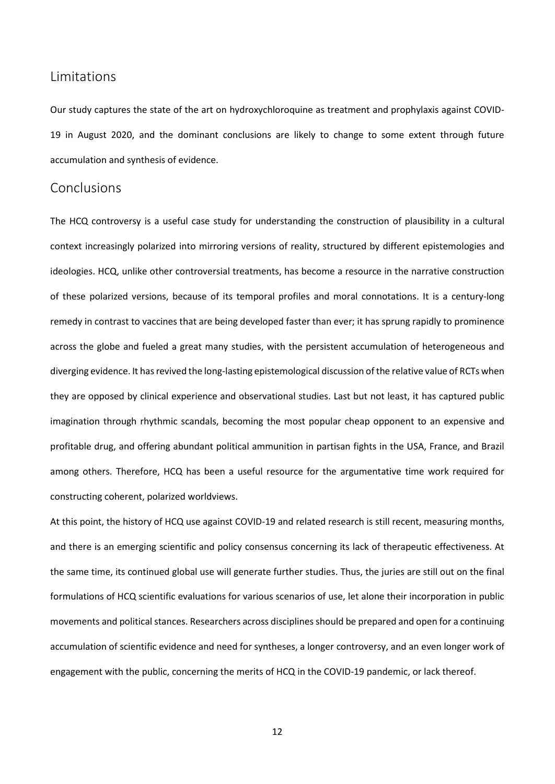### **Limitations**

Our study captures the state of the art on hydroxychloroquine as treatment and prophylaxis against COVID-19 in August 2020, and the dominant conclusions are likely to change to some extent through future accumulation and synthesis of evidence.

## Conclusions

The HCQ controversy is a useful case study for understanding the construction of plausibility in a cultural context increasingly polarized into mirroring versions of reality, structured by different epistemologies and ideologies. HCQ, unlike other controversial treatments, has become a resource in the narrative construction of these polarized versions, because of its temporal profiles and moral connotations. It is a century-long remedy in contrast to vaccines that are being developed faster than ever; it has sprung rapidly to prominence across the globe and fueled a great many studies, with the persistent accumulation of heterogeneous and diverging evidence. It has revived the long-lasting epistemological discussion of the relative value of RCTs when they are opposed by clinical experience and observational studies. Last but not least, it has captured public imagination through rhythmic scandals, becoming the most popular cheap opponent to an expensive and profitable drug, and offering abundant political ammunition in partisan fights in the USA, France, and Brazil among others. Therefore, HCQ has been a useful resource for the argumentative time work required for constructing coherent, polarized worldviews.

At this point, the history of HCQ use against COVID-19 and related research is still recent, measuring months, and there is an emerging scientific and policy consensus concerning its lack of therapeutic effectiveness. At the same time, its continued global use will generate further studies. Thus, the juries are still out on the final formulations of HCQ scientific evaluations for various scenarios of use, let alone their incorporation in public movements and political stances. Researchers across disciplines should be prepared and open for a continuing accumulation of scientific evidence and need for syntheses, a longer controversy, and an even longer work of engagement with the public, concerning the merits of HCQ in the COVID-19 pandemic, or lack thereof.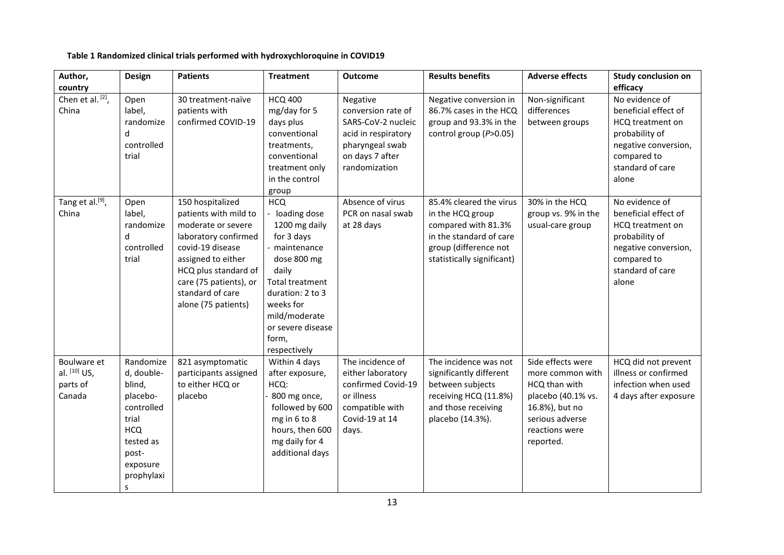**Table 1 Randomized clinical trials performed with hydroxychloroquine in COVID19** 

| Author,                                           | Design                                                                                                                                  | <b>Patients</b>                                                                                                                                                                                                                | <b>Treatment</b>                                                                                                                                                                                                               | <b>Outcome</b>                                                                                                                     | <b>Results benefits</b>                                                                                                                              | <b>Adverse effects</b>                                                                                                                           | <b>Study conclusion on</b>                                                                                                                       |
|---------------------------------------------------|-----------------------------------------------------------------------------------------------------------------------------------------|--------------------------------------------------------------------------------------------------------------------------------------------------------------------------------------------------------------------------------|--------------------------------------------------------------------------------------------------------------------------------------------------------------------------------------------------------------------------------|------------------------------------------------------------------------------------------------------------------------------------|------------------------------------------------------------------------------------------------------------------------------------------------------|--------------------------------------------------------------------------------------------------------------------------------------------------|--------------------------------------------------------------------------------------------------------------------------------------------------|
| country                                           |                                                                                                                                         |                                                                                                                                                                                                                                |                                                                                                                                                                                                                                |                                                                                                                                    |                                                                                                                                                      |                                                                                                                                                  | efficacy                                                                                                                                         |
| Chen et al. $[2]$ ,<br>China                      | Open<br>label,<br>randomize<br>d<br>controlled<br>trial                                                                                 | 30 treatment-naïve<br>patients with<br>confirmed COVID-19                                                                                                                                                                      | <b>HCQ 400</b><br>mg/day for 5<br>days plus<br>conventional<br>treatments,<br>conventional<br>treatment only<br>in the control<br>group                                                                                        | Negative<br>conversion rate of<br>SARS-CoV-2 nucleic<br>acid in respiratory<br>pharyngeal swab<br>on days 7 after<br>randomization | Negative conversion in<br>86.7% cases in the HCQ<br>group and 93.3% in the<br>control group (P>0.05)                                                 | Non-significant<br>differences<br>between groups                                                                                                 | No evidence of<br>beneficial effect of<br>HCQ treatment on<br>probability of<br>negative conversion,<br>compared to<br>standard of care<br>alone |
| Tang et al. <sup>[9]</sup> ,<br>China             | Open<br>label,<br>randomize<br>d<br>controlled<br>trial                                                                                 | 150 hospitalized<br>patients with mild to<br>moderate or severe<br>laboratory confirmed<br>covid-19 disease<br>assigned to either<br>HCQ plus standard of<br>care (75 patients), or<br>standard of care<br>alone (75 patients) | <b>HCQ</b><br>- loading dose<br>1200 mg daily<br>for 3 days<br>- maintenance<br>dose 800 mg<br>daily<br><b>Total treatment</b><br>duration: 2 to 3<br>weeks for<br>mild/moderate<br>or severe disease<br>form,<br>respectively | Absence of virus<br>PCR on nasal swab<br>at 28 days                                                                                | 85.4% cleared the virus<br>in the HCQ group<br>compared with 81.3%<br>in the standard of care<br>group (difference not<br>statistically significant) | 30% in the HCQ<br>group vs. 9% in the<br>usual-care group                                                                                        | No evidence of<br>beneficial effect of<br>HCQ treatment on<br>probability of<br>negative conversion,<br>compared to<br>standard of care<br>alone |
| Boulware et<br>al. [10] US,<br>parts of<br>Canada | Randomize<br>d, double-<br>blind,<br>placebo-<br>controlled<br>trial<br><b>HCQ</b><br>tested as<br>post-<br>exposure<br>prophylaxi<br>s | 821 asymptomatic<br>participants assigned<br>to either HCQ or<br>placebo                                                                                                                                                       | Within 4 days<br>after exposure,<br>HCQ:<br>800 mg once,<br>followed by 600<br>mg in 6 to 8<br>hours, then 600<br>mg daily for 4<br>additional days                                                                            | The incidence of<br>either laboratory<br>confirmed Covid-19<br>or illness<br>compatible with<br>Covid-19 at 14<br>days.            | The incidence was not<br>significantly different<br>between subjects<br>receiving HCQ (11.8%)<br>and those receiving<br>placebo (14.3%).             | Side effects were<br>more common with<br>HCQ than with<br>placebo (40.1% vs.<br>16.8%), but no<br>serious adverse<br>reactions were<br>reported. | HCQ did not prevent<br>illness or confirmed<br>infection when used<br>4 days after exposure                                                      |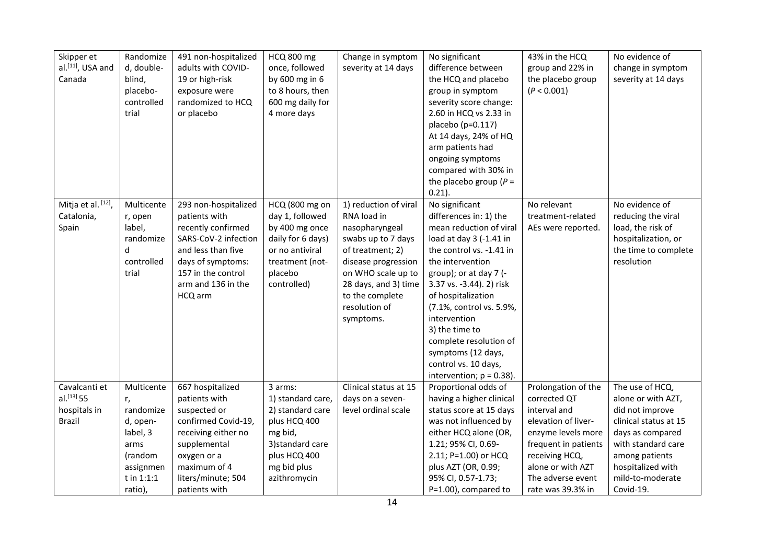| Skipper et<br>al. <sup>[11]</sup> , USA and<br>Canada           | Randomize<br>d, double-<br>blind,<br>placebo-<br>controlled<br>trial                                           | 491 non-hospitalized<br>adults with COVID-<br>19 or high-risk<br>exposure were<br>randomized to HCQ<br>or placebo                                                                     | <b>HCQ 800 mg</b><br>once, followed<br>by 600 mg in 6<br>to 8 hours, then<br>600 mg daily for<br>4 more days                                   | Change in symptom<br>severity at 14 days                                                                                                                                                                               | No significant<br>difference between<br>the HCQ and placebo<br>group in symptom<br>severity score change:<br>2.60 in HCQ vs 2.33 in<br>placebo (p=0.117)<br>At 14 days, 24% of HQ<br>arm patients had<br>ongoing symptoms<br>compared with 30% in<br>the placebo group ( $P =$<br>$0.21$ ).                                                                                                     | 43% in the HCQ<br>group and 22% in<br>the placebo group<br>(P < 0.001)                                                                                                                                    | No evidence of<br>change in symptom<br>severity at 14 days                                                                                                                                          |
|-----------------------------------------------------------------|----------------------------------------------------------------------------------------------------------------|---------------------------------------------------------------------------------------------------------------------------------------------------------------------------------------|------------------------------------------------------------------------------------------------------------------------------------------------|------------------------------------------------------------------------------------------------------------------------------------------------------------------------------------------------------------------------|-------------------------------------------------------------------------------------------------------------------------------------------------------------------------------------------------------------------------------------------------------------------------------------------------------------------------------------------------------------------------------------------------|-----------------------------------------------------------------------------------------------------------------------------------------------------------------------------------------------------------|-----------------------------------------------------------------------------------------------------------------------------------------------------------------------------------------------------|
| Mitja et al. [12],<br>Catalonia,<br>Spain                       | Multicente<br>r, open<br>label,<br>randomize<br>d<br>controlled<br>trial                                       | 293 non-hospitalized<br>patients with<br>recently confirmed<br>SARS-CoV-2 infection<br>and less than five<br>days of symptoms:<br>157 in the control<br>arm and 136 in the<br>HCQ arm | HCQ (800 mg on<br>day 1, followed<br>by 400 mg once<br>daily for 6 days)<br>or no antiviral<br>treatment (not-<br>placebo<br>controlled)       | 1) reduction of viral<br>RNA load in<br>nasopharyngeal<br>swabs up to 7 days<br>of treatment; 2)<br>disease progression<br>on WHO scale up to<br>28 days, and 3) time<br>to the complete<br>resolution of<br>symptoms. | No significant<br>differences in: 1) the<br>mean reduction of viral<br>load at day 3 (-1.41 in<br>the control vs. -1.41 in<br>the intervention<br>group); or at day 7 (-<br>3.37 vs. -3.44). 2) risk<br>of hospitalization<br>(7.1%, control vs. 5.9%,<br>intervention<br>3) the time to<br>complete resolution of<br>symptoms (12 days,<br>control vs. 10 days,<br>intervention; $p = 0.38$ ). | No relevant<br>treatment-related<br>AEs were reported.                                                                                                                                                    | No evidence of<br>reducing the viral<br>load, the risk of<br>hospitalization, or<br>the time to complete<br>resolution                                                                              |
| Cavalcanti et<br>$al.$ [13] 55<br>hospitals in<br><b>Brazil</b> | Multicente<br>r,<br>randomize<br>d, open-<br>label, 3<br>arms<br>(random<br>assignmen<br>t in 1:1:1<br>ratio), | 667 hospitalized<br>patients with<br>suspected or<br>confirmed Covid-19,<br>receiving either no<br>supplemental<br>oxygen or a<br>maximum of 4<br>liters/minute; 504<br>patients with | 3 arms:<br>1) standard care,<br>2) standard care<br>plus HCQ 400<br>mg bid,<br>3) standard care<br>plus HCQ 400<br>mg bid plus<br>azithromycin | Clinical status at 15<br>days on a seven-<br>level ordinal scale                                                                                                                                                       | Proportional odds of<br>having a higher clinical<br>status score at 15 days<br>was not influenced by<br>either HCQ alone (OR,<br>1.21; 95% CI, 0.69-<br>2.11; P=1.00) or HCQ<br>plus AZT (OR, 0.99;<br>95% CI, 0.57-1.73;<br>$P=1.00$ ), compared to                                                                                                                                            | Prolongation of the<br>corrected QT<br>interval and<br>elevation of liver-<br>enzyme levels more<br>frequent in patients<br>receiving HCQ,<br>alone or with AZT<br>The adverse event<br>rate was 39.3% in | The use of HCQ,<br>alone or with AZT,<br>did not improve<br>clinical status at 15<br>days as compared<br>with standard care<br>among patients<br>hospitalized with<br>mild-to-moderate<br>Covid-19. |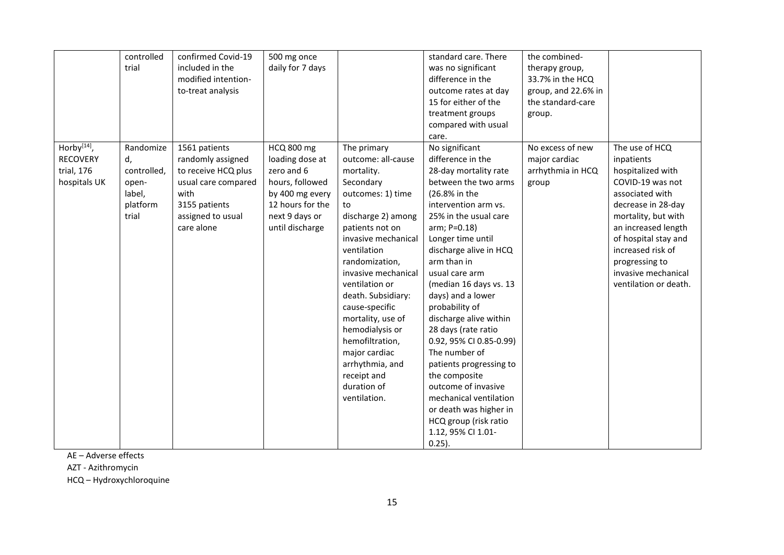|                 | controlled  | confirmed Covid-19  | 500 mg once       |                     | standard care. There    | the combined-       |                       |
|-----------------|-------------|---------------------|-------------------|---------------------|-------------------------|---------------------|-----------------------|
|                 | trial       | included in the     | daily for 7 days  |                     | was no significant      | therapy group,      |                       |
|                 |             | modified intention- |                   |                     | difference in the       | 33.7% in the HCQ    |                       |
|                 |             | to-treat analysis   |                   |                     | outcome rates at day    | group, and 22.6% in |                       |
|                 |             |                     |                   |                     | 15 for either of the    | the standard-care   |                       |
|                 |             |                     |                   |                     | treatment groups        |                     |                       |
|                 |             |                     |                   |                     |                         | group.              |                       |
|                 |             |                     |                   |                     | compared with usual     |                     |                       |
|                 |             |                     |                   |                     | care.                   |                     |                       |
| Horby $[14]$ ,  | Randomize   | 1561 patients       | <b>HCQ 800 mg</b> | The primary         | No significant          | No excess of new    | The use of HCQ        |
| <b>RECOVERY</b> | d,          | randomly assigned   | loading dose at   | outcome: all-cause  | difference in the       | major cardiac       | inpatients            |
| trial, 176      | controlled, | to receive HCQ plus | zero and 6        | mortality.          | 28-day mortality rate   | arrhythmia in HCQ   | hospitalized with     |
| hospitals UK    | open-       | usual care compared | hours, followed   | Secondary           | between the two arms    | group               | COVID-19 was not      |
|                 | label,      | with                | by 400 mg every   | outcomes: 1) time   | (26.8% in the           |                     | associated with       |
|                 | platform    | 3155 patients       | 12 hours for the  | to                  | intervention arm vs.    |                     | decrease in 28-day    |
|                 | trial       | assigned to usual   | next 9 days or    | discharge 2) among  | 25% in the usual care   |                     | mortality, but with   |
|                 |             | care alone          | until discharge   | patients not on     | arm; P=0.18)            |                     | an increased length   |
|                 |             |                     |                   | invasive mechanical | Longer time until       |                     | of hospital stay and  |
|                 |             |                     |                   | ventilation         | discharge alive in HCQ  |                     | increased risk of     |
|                 |             |                     |                   | randomization,      | arm than in             |                     | progressing to        |
|                 |             |                     |                   | invasive mechanical | usual care arm          |                     | invasive mechanical   |
|                 |             |                     |                   | ventilation or      | (median 16 days vs. 13  |                     | ventilation or death. |
|                 |             |                     |                   | death. Subsidiary:  | days) and a lower       |                     |                       |
|                 |             |                     |                   | cause-specific      | probability of          |                     |                       |
|                 |             |                     |                   | mortality, use of   | discharge alive within  |                     |                       |
|                 |             |                     |                   | hemodialysis or     | 28 days (rate ratio     |                     |                       |
|                 |             |                     |                   | hemofiltration,     | 0.92, 95% CI 0.85-0.99) |                     |                       |
|                 |             |                     |                   | major cardiac       | The number of           |                     |                       |
|                 |             |                     |                   | arrhythmia, and     | patients progressing to |                     |                       |
|                 |             |                     |                   | receipt and         | the composite           |                     |                       |
|                 |             |                     |                   | duration of         | outcome of invasive     |                     |                       |
|                 |             |                     |                   | ventilation.        | mechanical ventilation  |                     |                       |
|                 |             |                     |                   |                     |                         |                     |                       |
|                 |             |                     |                   |                     | or death was higher in  |                     |                       |
|                 |             |                     |                   |                     | HCQ group (risk ratio   |                     |                       |
|                 |             |                     |                   |                     | 1.12, 95% CI 1.01-      |                     |                       |
|                 |             |                     |                   |                     | $0.25$ ).               |                     |                       |

AE – Adverse effects

AZT - Azithromycin

HCQ – Hydroxychloroquine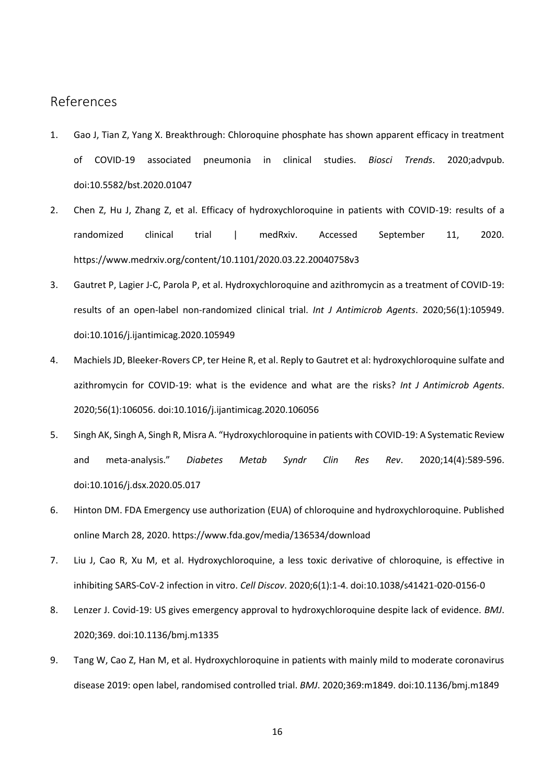# References

- 1. Gao J, Tian Z, Yang X. Breakthrough: Chloroquine phosphate has shown apparent efficacy in treatment of COVID-19 associated pneumonia in clinical studies. *Biosci Trends*. 2020;advpub. doi:10.5582/bst.2020.01047
- 2. Chen Z, Hu J, Zhang Z, et al. Efficacy of hydroxychloroquine in patients with COVID-19: results of a randomized clinical trial | medRxiv. Accessed September 11, 2020. https://www.medrxiv.org/content/10.1101/2020.03.22.20040758v3
- 3. Gautret P, Lagier J-C, Parola P, et al. Hydroxychloroquine and azithromycin as a treatment of COVID-19: results of an open-label non-randomized clinical trial. *Int J Antimicrob Agents*. 2020;56(1):105949. doi:10.1016/j.ijantimicag.2020.105949
- 4. Machiels JD, Bleeker-Rovers CP, ter Heine R, et al. Reply to Gautret et al: hydroxychloroquine sulfate and azithromycin for COVID-19: what is the evidence and what are the risks? *Int J Antimicrob Agents*. 2020;56(1):106056. doi:10.1016/j.ijantimicag.2020.106056
- 5. Singh AK, Singh A, Singh R, Misra A. "Hydroxychloroquine in patients with COVID-19: A Systematic Review and meta-analysis." *Diabetes Metab Syndr Clin Res Rev*. 2020;14(4):589-596. doi:10.1016/j.dsx.2020.05.017
- 6. Hinton DM. FDA Emergency use authorization (EUA) of chloroquine and hydroxychloroquine. Published online March 28, 2020. https://www.fda.gov/media/136534/download
- 7. Liu J, Cao R, Xu M, et al. Hydroxychloroquine, a less toxic derivative of chloroquine, is effective in inhibiting SARS-CoV-2 infection in vitro. *Cell Discov*. 2020;6(1):1-4. doi:10.1038/s41421-020-0156-0
- 8. Lenzer J. Covid-19: US gives emergency approval to hydroxychloroquine despite lack of evidence. *BMJ*. 2020;369. doi:10.1136/bmj.m1335
- 9. Tang W, Cao Z, Han M, et al. Hydroxychloroquine in patients with mainly mild to moderate coronavirus disease 2019: open label, randomised controlled trial. *BMJ*. 2020;369:m1849. doi:10.1136/bmj.m1849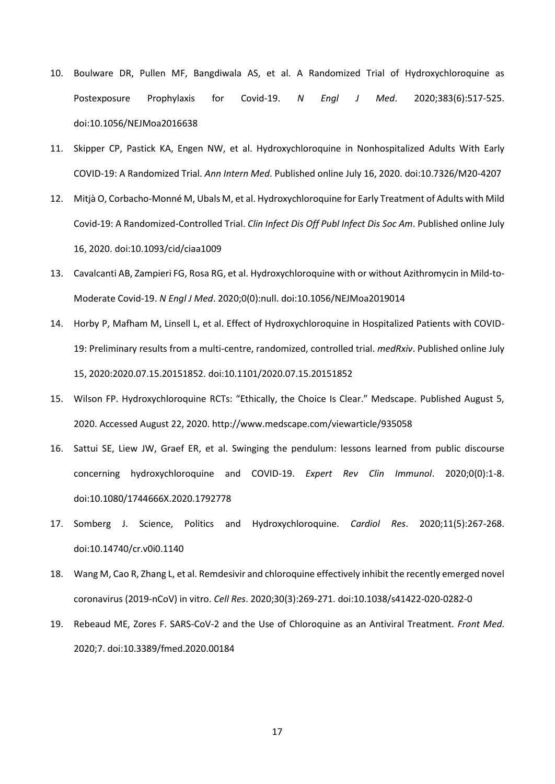- 10. Boulware DR, Pullen MF, Bangdiwala AS, et al. A Randomized Trial of Hydroxychloroquine as Postexposure Prophylaxis for Covid-19. *N Engl J Med*. 2020;383(6):517-525. doi:10.1056/NEJMoa2016638
- 11. Skipper CP, Pastick KA, Engen NW, et al. Hydroxychloroquine in Nonhospitalized Adults With Early COVID-19: A Randomized Trial. *Ann Intern Med*. Published online July 16, 2020. doi:10.7326/M20-4207
- 12. Mitjà O, Corbacho-Monné M, Ubals M, et al. Hydroxychloroquine for Early Treatment of Adults with Mild Covid-19: A Randomized-Controlled Trial. *Clin Infect Dis Off Publ Infect Dis Soc Am*. Published online July 16, 2020. doi:10.1093/cid/ciaa1009
- 13. Cavalcanti AB, Zampieri FG, Rosa RG, et al. Hydroxychloroquine with or without Azithromycin in Mild-to-Moderate Covid-19. *N Engl J Med*. 2020;0(0):null. doi:10.1056/NEJMoa2019014
- 14. Horby P, Mafham M, Linsell L, et al. Effect of Hydroxychloroquine in Hospitalized Patients with COVID-19: Preliminary results from a multi-centre, randomized, controlled trial. *medRxiv*. Published online July 15, 2020:2020.07.15.20151852. doi:10.1101/2020.07.15.20151852
- 15. Wilson FP. Hydroxychloroquine RCTs: "Ethically, the Choice Is Clear." Medscape. Published August 5, 2020. Accessed August 22, 2020. http://www.medscape.com/viewarticle/935058
- 16. Sattui SE, Liew JW, Graef ER, et al. Swinging the pendulum: lessons learned from public discourse concerning hydroxychloroquine and COVID-19. *Expert Rev Clin Immunol*. 2020;0(0):1-8. doi:10.1080/1744666X.2020.1792778
- 17. Somberg J. Science, Politics and Hydroxychloroquine. *Cardiol Res*. 2020;11(5):267-268. doi:10.14740/cr.v0i0.1140
- 18. Wang M, Cao R, Zhang L, et al. Remdesivir and chloroquine effectively inhibit the recently emerged novel coronavirus (2019-nCoV) in vitro. *Cell Res*. 2020;30(3):269-271. doi:10.1038/s41422-020-0282-0
- 19. Rebeaud ME, Zores F. SARS-CoV-2 and the Use of Chloroquine as an Antiviral Treatment. *Front Med*. 2020;7. doi:10.3389/fmed.2020.00184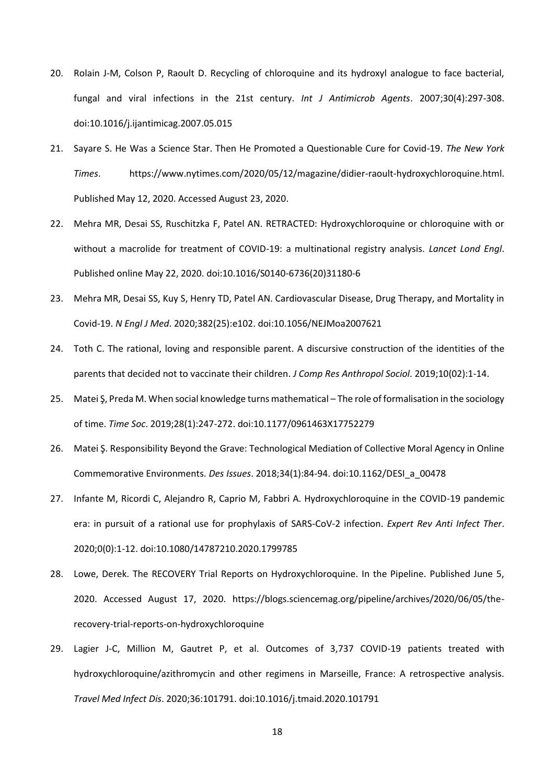- 20. Rolain J-M, Colson P, Raoult D. Recycling of chloroquine and its hydroxyl analogue to face bacterial, fungal and viral infections in the 21st century. *Int J Antimicrob Agents*. 2007;30(4):297-308. doi:10.1016/j.ijantimicag.2007.05.015
- 21. Sayare S. He Was a Science Star. Then He Promoted a Questionable Cure for Covid-19. *The New York Times*. https://www.nytimes.com/2020/05/12/magazine/didier-raoult-hydroxychloroquine.html. Published May 12, 2020. Accessed August 23, 2020.
- 22. Mehra MR, Desai SS, Ruschitzka F, Patel AN. RETRACTED: Hydroxychloroquine or chloroquine with or without a macrolide for treatment of COVID-19: a multinational registry analysis. *Lancet Lond Engl*. Published online May 22, 2020. doi:10.1016/S0140-6736(20)31180-6
- 23. Mehra MR, Desai SS, Kuy S, Henry TD, Patel AN. Cardiovascular Disease, Drug Therapy, and Mortality in Covid-19. *N Engl J Med*. 2020;382(25):e102. doi:10.1056/NEJMoa2007621
- 24. Toth C. The rational, loving and responsible parent. A discursive construction of the identities of the parents that decided not to vaccinate their children. *J Comp Res Anthropol Sociol*. 2019;10(02):1-14.
- 25. Matei Ş, Preda M. When social knowledge turns mathematical The role of formalisation in the sociology of time. *Time Soc*. 2019;28(1):247-272. doi:10.1177/0961463X17752279
- 26. Matei Ş. Responsibility Beyond the Grave: Technological Mediation of Collective Moral Agency in Online Commemorative Environments. *Des Issues*. 2018;34(1):84-94. doi:10.1162/DESI\_a\_00478
- 27. Infante M, Ricordi C, Alejandro R, Caprio M, Fabbri A. Hydroxychloroquine in the COVID-19 pandemic era: in pursuit of a rational use for prophylaxis of SARS-CoV-2 infection. *Expert Rev Anti Infect Ther*. 2020;0(0):1-12. doi:10.1080/14787210.2020.1799785
- 28. Lowe, Derek. The RECOVERY Trial Reports on Hydroxychloroquine. In the Pipeline. Published June 5, 2020. Accessed August 17, 2020. https://blogs.sciencemag.org/pipeline/archives/2020/06/05/therecovery-trial-reports-on-hydroxychloroquine
- 29. Lagier J-C, Million M, Gautret P, et al. Outcomes of 3,737 COVID-19 patients treated with hydroxychloroquine/azithromycin and other regimens in Marseille, France: A retrospective analysis. *Travel Med Infect Dis*. 2020;36:101791. doi:10.1016/j.tmaid.2020.101791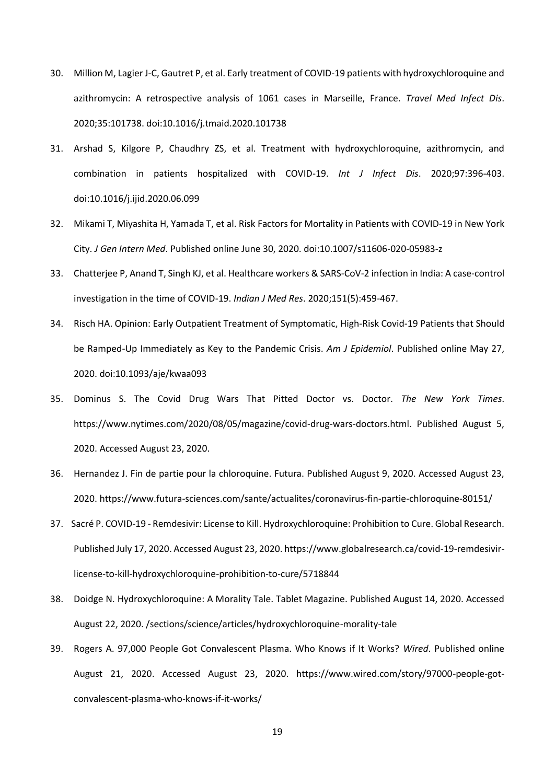- 30. Million M, Lagier J-C, Gautret P, et al. Early treatment of COVID-19 patients with hydroxychloroquine and azithromycin: A retrospective analysis of 1061 cases in Marseille, France. *Travel Med Infect Dis*. 2020;35:101738. doi:10.1016/j.tmaid.2020.101738
- 31. Arshad S, Kilgore P, Chaudhry ZS, et al. Treatment with hydroxychloroquine, azithromycin, and combination in patients hospitalized with COVID-19. *Int J Infect Dis*. 2020;97:396-403. doi:10.1016/j.ijid.2020.06.099
- 32. Mikami T, Miyashita H, Yamada T, et al. Risk Factors for Mortality in Patients with COVID-19 in New York City. *J Gen Intern Med*. Published online June 30, 2020. doi:10.1007/s11606-020-05983-z
- 33. Chatterjee P, Anand T, Singh KJ, et al. Healthcare workers & SARS-CoV-2 infection in India: A case-control investigation in the time of COVID-19. *Indian J Med Res*. 2020;151(5):459-467.
- 34. Risch HA. Opinion: Early Outpatient Treatment of Symptomatic, High-Risk Covid-19 Patients that Should be Ramped-Up Immediately as Key to the Pandemic Crisis. *Am J Epidemiol*. Published online May 27, 2020. doi:10.1093/aje/kwaa093
- 35. Dominus S. The Covid Drug Wars That Pitted Doctor vs. Doctor. *The New York Times*. https://www.nytimes.com/2020/08/05/magazine/covid-drug-wars-doctors.html. Published August 5, 2020. Accessed August 23, 2020.
- 36. Hernandez J. Fin de partie pour la chloroquine. Futura. Published August 9, 2020. Accessed August 23, 2020. https://www.futura-sciences.com/sante/actualites/coronavirus-fin-partie-chloroquine-80151/
- 37. Sacré P. COVID-19 Remdesivir: License to Kill. Hydroxychloroquine: Prohibition to Cure. Global Research. Published July 17, 2020. Accessed August 23, 2020. https://www.globalresearch.ca/covid-19-remdesivirlicense-to-kill-hydroxychloroquine-prohibition-to-cure/5718844
- 38. Doidge N. Hydroxychloroquine: A Morality Tale. Tablet Magazine. Published August 14, 2020. Accessed August 22, 2020. /sections/science/articles/hydroxychloroquine-morality-tale
- 39. Rogers A. 97,000 People Got Convalescent Plasma. Who Knows if It Works? *Wired*. Published online August 21, 2020. Accessed August 23, 2020. https://www.wired.com/story/97000-people-gotconvalescent-plasma-who-knows-if-it-works/